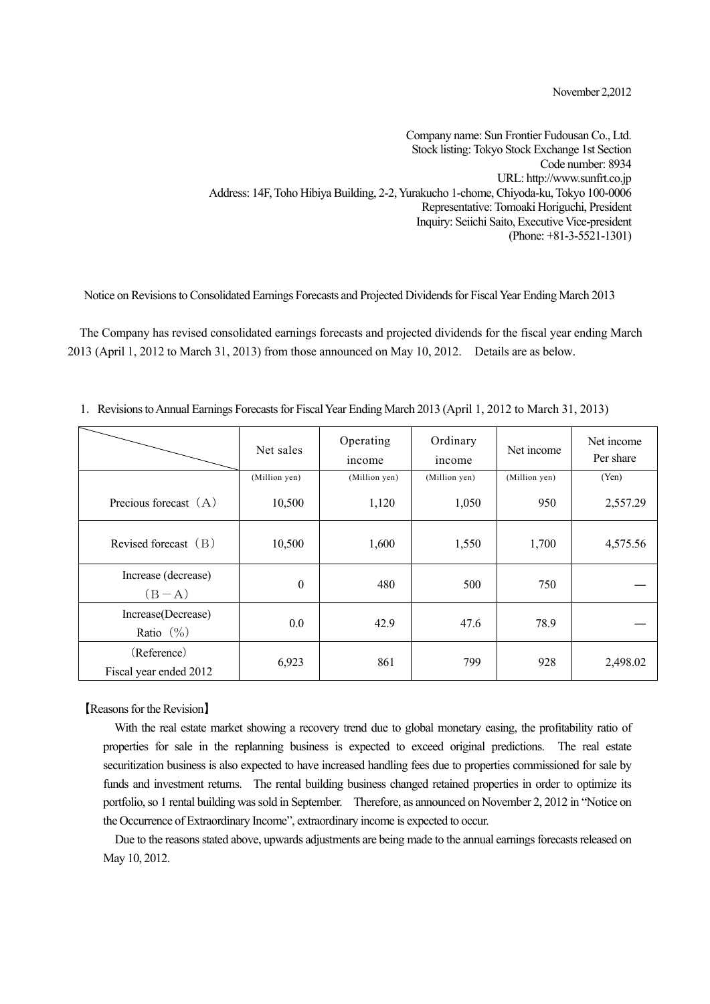November 2,2012

Company name: Sun Frontier Fudousan Co., Ltd. Stock listing: Tokyo Stock Exchange 1st Section Code number: 8934 URL: http://www.sunfrt.co.jp Address: 14F, Toho Hibiya Building, 2-2, Yurakucho 1-chome, Chiyoda-ku, Tokyo 100-0006 Representative: Tomoaki Horiguchi, President Inquiry: Seiichi Saito, Executive Vice-president (Phone: +81-3-5521-1301)

Notice on Revisions to Consolidated Earnings Forecasts and Projected Dividends for Fiscal Year Ending March 2013

The Company has revised consolidated earnings forecasts and projected dividends for the fiscal year ending March 2013 (April 1, 2012 to March 31, 2013) from those announced on May 10, 2012. Details are as below.

|                                       | Net sales        | Operating<br>income | Ordinary<br>income | Net income    | Net income<br>Per share |
|---------------------------------------|------------------|---------------------|--------------------|---------------|-------------------------|
|                                       | (Million yen)    | (Million yen)       | (Million yen)      | (Million yen) | (Yen)                   |
| Precious forecast $(A)$               | 10,500           | 1,120               | 1,050              | 950           | 2,557.29                |
| Revised forecast $(B)$                | 10,500           | 1,600               | 1,550              | 1,700         | 4,575.56                |
| Increase (decrease)<br>$(B-A)$        | $\boldsymbol{0}$ | 480                 | 500                | 750           |                         |
| Increase(Decrease)<br>Ratio $(\% )$   | 0.0              | 42.9                | 47.6               | 78.9          |                         |
| (Reference)<br>Fiscal year ended 2012 | 6,923            | 861                 | 799                | 928           | 2,498.02                |

1.Revisions to Annual Earnings Forecasts for Fiscal Year Ending March 2013 (April 1, 2012 to March 31, 2013)

【Reasons for the Revision】

With the real estate market showing a recovery trend due to global monetary easing, the profitability ratio of properties for sale in the replanning business is expected to exceed original predictions. The real estate securitization business is also expected to have increased handling fees due to properties commissioned for sale by funds and investment returns. The rental building business changed retained properties in order to optimize its portfolio, so 1 rental building was sold in September. Therefore, as announced on November 2, 2012 in "Notice on the Occurrence of Extraordinary Income", extraordinary income is expected to occur.

Due to the reasons stated above, upwards adjustments are being made to the annual earnings forecasts released on May 10, 2012.